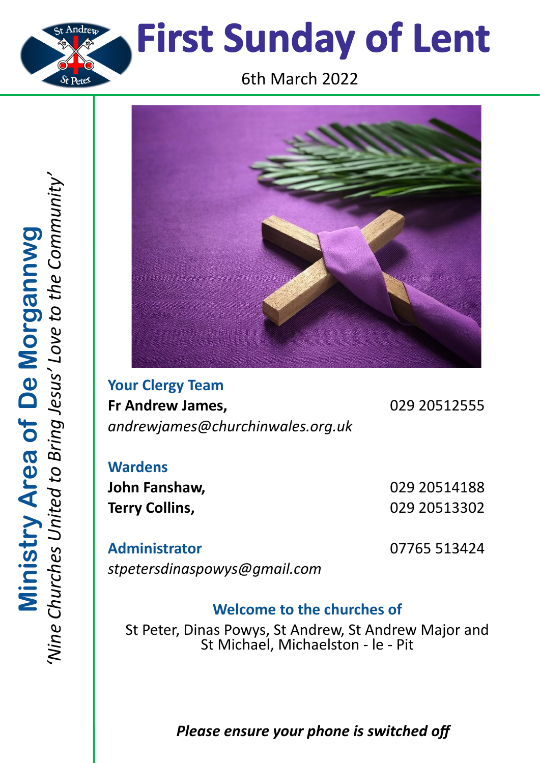



**Your Clergy Team Fr Andrew James,** 029 20512555 *andrewjames@churchinwales.org.uk*

**Wardens John Fanshaw,** 029 20514188 **Terry Collins,** 029 20513302

**Administrator** 07765 513424 *stpetersdinaspowys@gmail.com*

## **Welcome to the churches of**

St Peter, Dinas Powys, St Andrew, St Andrew Major and St Michael, Michaelston - le - Pit

# *Please ensure your phone is switched off*

*'Nine Churches United to Bring Jesus' Love to the Community'* Ministry Area of De Morgannwg<br>Wine Churches United to Bring Jesus' Love to the Communit **Ministry Area of De Morgannwg**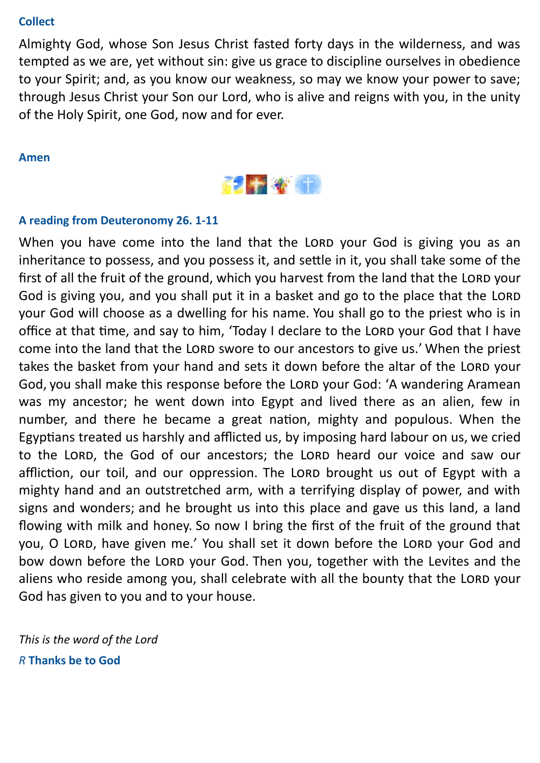#### **Collect**

Almighty God, whose Son Jesus Christ fasted forty days in the wilderness, and was tempted as we are, yet without sin: give us grace to discipline ourselves in obedience to your Spirit; and, as you know our weakness, so may we know your power to save; through Jesus Christ your Son our Lord, who is alive and reigns with you, in the unity of the Holy Spirit, one God, now and for ever.

#### **Amen**



### **A reading from Deuteronomy 26. 1-11**

When you have come into the land that the LORD your God is giving you as an inheritance to possess, and you possess it, and settle in it, you shall take some of the first of all the fruit of the ground, which you harvest from the land that the LORD your God is giving you, and you shall put it in a basket and go to the place that the LORD your God will choose as a dwelling for his name. You shall go to the priest who is in office at that time, and say to him, 'Today I declare to the LORD your God that I have come into the land that the LORD swore to our ancestors to give us.' When the priest takes the basket from your hand and sets it down before the altar of the LORD your God, you shall make this response before the LORD your God: 'A wandering Aramean was my ancestor; he went down into Egypt and lived there as an alien, few in number, and there he became a great nation, mighty and populous. When the Egyptians treated us harshly and afflicted us, by imposing hard labour on us, we cried to the LORD, the God of our ancestors; the LORD heard our voice and saw our affliction, our toil, and our oppression. The LORD brought us out of Egypt with a mighty hand and an outstretched arm, with a terrifying display of power, and with signs and wonders; and he brought us into this place and gave us this land, a land flowing with milk and honey. So now I bring the first of the fruit of the ground that you, O LORD, have given me.' You shall set it down before the LORD your God and bow down before the LORD your God. Then you, together with the Levites and the aliens who reside among you, shall celebrate with all the bounty that the LORD your God has given to you and to your house.

*This is the word of the Lord R* **Thanks be to God**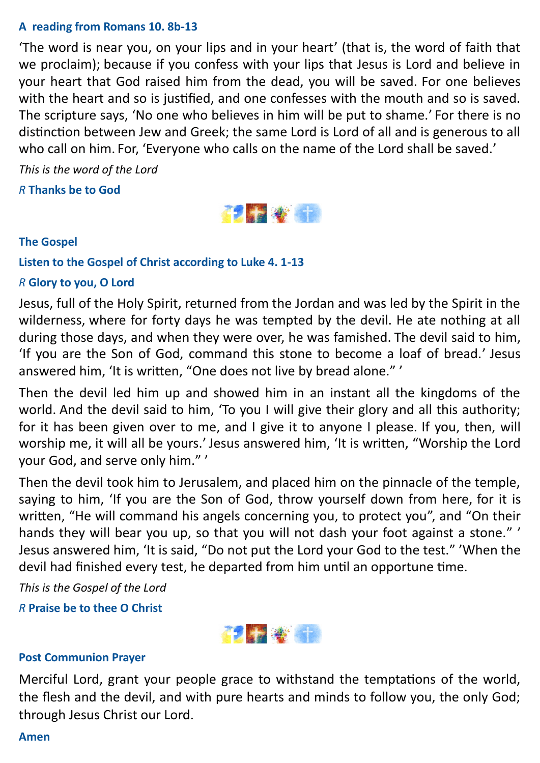#### **A reading from Romans 10. 8b-13**

'The word is near you, on your lips and in your heart' (that is, the word of faith that we proclaim); because if you confess with your lips that Jesus is Lord and believe in your heart that God raised him from the dead, you will be saved. For one believes with the heart and so is justified, and one confesses with the mouth and so is saved. The scripture says, 'No one who believes in him will be put to shame.' For there is no distinction between Jew and Greek; the same Lord is Lord of all and is generous to all who call on him. For, 'Everyone who calls on the name of the Lord shall be saved.'

*This is the word of the Lord*

*R* **Thanks be to God**



### **The Gospel**

**Listen to the Gospel of Christ according to Luke 4. 1-13**

### *R* **Glory to you, O Lord**

Jesus, full of the Holy Spirit, returned from the Jordan and was led by the Spirit in the wilderness, where for forty days he was tempted by the devil. He ate nothing at all during those days, and when they were over, he was famished. The devil said to him, 'If you are the Son of God, command this stone to become a loaf of bread.' Jesus answered him, 'It is written, "One does not live by bread alone." '

Then the devil led him up and showed him in an instant all the kingdoms of the world. And the devil said to him, 'To you I will give their glory and all this authority; for it has been given over to me, and I give it to anyone I please. If you, then, will worship me, it will all be yours.' Jesus answered him, 'It is written, "Worship the Lord your God, and serve only him." '

Then the devil took him to Jerusalem, and placed him on the pinnacle of the temple, saying to him, 'If you are the Son of God, throw yourself down from here, for it is written, "He will command his angels concerning you, to protect you", and "On their hands they will bear you up, so that you will not dash your foot against a stone." ' Jesus answered him, 'It is said, "Do not put the Lord your God to the test." 'When the devil had finished every test, he departed from him until an opportune time.

*This is the Gospel of the Lord*

*R* **Praise be to thee O Christ**



#### **Post Communion Prayer**

Merciful Lord, grant your people grace to withstand the temptations of the world, the flesh and the devil, and with pure hearts and minds to follow you, the only God; through Jesus Christ our Lord.